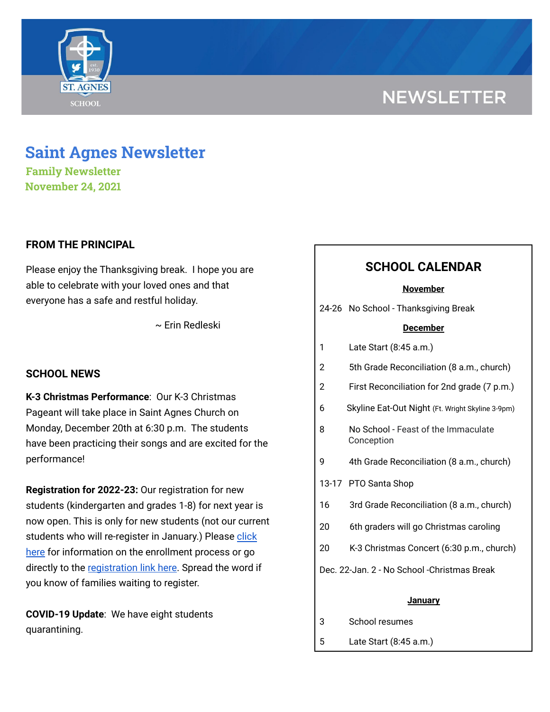# **NEWSLETTER**



**Family Newsletter November 24, 2021**

### **FROM THE PRINCIPAL**

Please enjoy the Thanksgiving break. I hope you are able to celebrate with your loved ones and that everyone has a safe and restful holiday.

~ Erin Redleski

### **SCHOOL NEWS**

**K-3 Christmas Performance**: Our K-3 Christmas Pageant will take place in Saint Agnes Church on Monday, December 20th at 6:30 p.m. The students have been practicing their songs and are excited for the performance!

**Registration for 2022-23:** Our registration for new students (kindergarten and grades 1-8) for next year is now open. This is only for new students (not our current students who will re-register in January.) Please [click](https://school.saintagnes.com/admission/) [here](https://school.saintagnes.com/admission/) for information on the enrollment process or go directly to the [registration](https://sycamore.school/login?schoolId=3292) link here. Spread the word if you know of families waiting to register.

**COVID-19 Update**: We have eight students quarantining.

# **SCHOOL CALENDAR**

#### **November**

24-26 No School - Thanksgiving Break

### **December**

- 2 5th Grade Reconciliation (8 a.m., church)
- 2 First Reconciliation for 2nd grade (7 p.m.)
- 6 Skyline Eat-Out Night (Ft. Wright Skyline 3-9pm)
- 8 No School Feast of the Immaculate Conception
- 9 4th Grade Reconciliation (8 a.m., church)
- 13-17 PTO Santa Shop
- 16 3rd Grade Reconciliation (8 a.m., church)
- 20 6th graders will go Christmas caroling
- 20 K-3 Christmas Concert (6:30 p.m., church)
- Dec. 22-Jan. 2 No School -Christmas Break

#### **January**

- 3 School resumes
- 5 Late Start (8:45 a.m.)